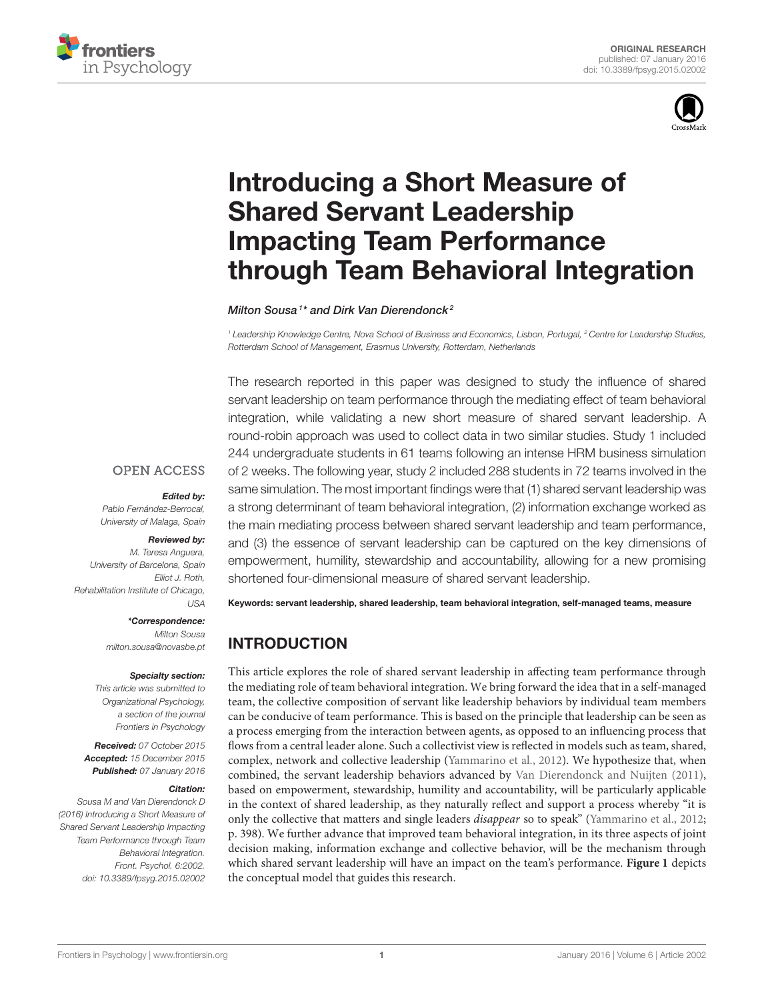



# Introducing a Short Measure of Shared Servant Leadership Impacting Team Performance [through Team Behavioral Integration](http://journal.frontiersin.org/article/10.3389/fpsyg.2015.02002/abstract)

[Milton Sousa](http://loop.frontiersin.org/people/282482/overview)<sup>1\*</sup> and [Dirk Van Dierendonck](http://loop.frontiersin.org/people/282989/overview)<sup>2</sup>

<sup>1</sup> Leadership Knowledge Centre, Nova School of Business and Economics, Lisbon, Portugal, <sup>2</sup> Centre for Leadership Studies, Rotterdam School of Management, Erasmus University, Rotterdam, Netherlands

The research reported in this paper was designed to study the influence of shared servant leadership on team performance through the mediating effect of team behavioral integration, while validating a new short measure of shared servant leadership. A round-robin approach was used to collect data in two similar studies. Study 1 included 244 undergraduate students in 61 teams following an intense HRM business simulation of 2 weeks. The following year, study 2 included 288 students in 72 teams involved in the same simulation. The most important findings were that (1) shared servant leadership was a strong determinant of team behavioral integration, (2) information exchange worked as the main mediating process between shared servant leadership and team performance, and (3) the essence of servant leadership can be captured on the key dimensions of empowerment, humility, stewardship and accountability, allowing for a new promising shortened four-dimensional measure of shared servant leadership.

Keywords: servant leadership, shared leadership, team behavioral integration, self-managed teams, measure

# INTRODUCTION

This article explores the role of shared servant leadership in affecting team performance through the mediating role of team behavioral integration. We bring forward the idea that in a self-managed team, the collective composition of servant like leadership behaviors by individual team members can be conducive of team performance. This is based on the principle that leadership can be seen as a process emerging from the interaction between agents, as opposed to an influencing process that flows from a central leader alone. Such a collectivist view is reflected in models such as team, shared, complex, network and collective leadership [\(Yammarino et al., 2012\)](#page-11-0). We hypothesize that, when combined, the servant leadership behaviors advanced by [Van Dierendonck and Nuijten \(2011\)](#page-11-1), based on empowerment, stewardship, humility and accountability, will be particularly applicable in the context of shared leadership, as they naturally reflect and support a process whereby "it is only the collective that matters and single leaders disappear so to speak" [\(Yammarino et al., 2012;](#page-11-0) p. 398). We further advance that improved team behavioral integration, in its three aspects of joint decision making, information exchange and collective behavior, will be the mechanism through which shared servant leadership will have an impact on the team's performance. **[Figure 1](#page-1-0)** depicts the conceptual model that guides this research.

**OPEN ACCESS** 

#### Edited by:

Pablo Fernández-Berrocal, University of Malaga, Spain

#### Reviewed by:

M. Teresa Anguera, University of Barcelona, Spain Elliot J. Roth, Rehabilitation Institute of Chicago, USA

\*Correspondence:

Milton Sousa [milton.sousa@novasbe.pt](mailto:milton.sousa@novasbe.pt)

#### Specialty section:

This article was submitted to Organizational Psychology, a section of the journal Frontiers in Psychology

Received: 07 October 2015 Accepted: 15 December 2015 Published: 07 January 2016

#### Citation:

Sousa M and Van Dierendonck D (2016) Introducing a Short Measure of Shared Servant Leadership Impacting Team Performance through Team Behavioral Integration. Front. Psychol. 6:2002. doi: [10.3389/fpsyg.2015.02002](http://dx.doi.org/10.3389/fpsyg.2015.02002)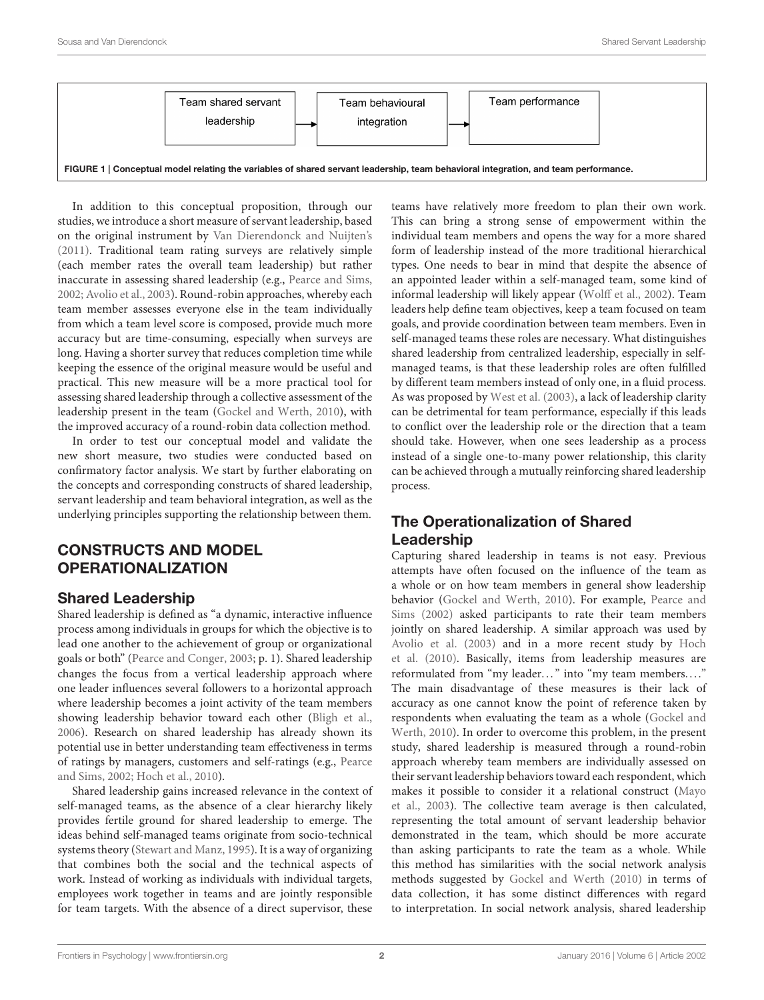

<span id="page-1-0"></span>In addition to this conceptual proposition, through our studies, we introduce a short measure of servant leadership, based on the original instrument by [Van Dierendonck and Nuijten's](#page-11-1) [\(2011\)](#page-11-1). Traditional team rating surveys are relatively simple (each member rates the overall team leadership) but rather inaccurate in assessing shared leadership (e.g., [Pearce and Sims,](#page-11-2) [2002;](#page-11-2) [Avolio et al., 2003\)](#page-10-0). Round-robin approaches, whereby each team member assesses everyone else in the team individually from which a team level score is composed, provide much more accuracy but are time-consuming, especially when surveys are long. Having a shorter survey that reduces completion time while keeping the essence of the original measure would be useful and practical. This new measure will be a more practical tool for assessing shared leadership through a collective assessment of the leadership present in the team [\(Gockel and Werth, 2010\)](#page-10-1), with the improved accuracy of a round-robin data collection method.

In order to test our conceptual model and validate the new short measure, two studies were conducted based on confirmatory factor analysis. We start by further elaborating on the concepts and corresponding constructs of shared leadership, servant leadership and team behavioral integration, as well as the underlying principles supporting the relationship between them.

# CONSTRUCTS AND MODEL OPERATIONALIZATION

# Shared Leadership

Shared leadership is defined as "a dynamic, interactive influence process among individuals in groups for which the objective is to lead one another to the achievement of group or organizational goals or both" [\(Pearce and Conger, 2003;](#page-11-3) p. 1). Shared leadership changes the focus from a vertical leadership approach where one leader influences several followers to a horizontal approach where leadership becomes a joint activity of the team members showing leadership behavior toward each other [\(Bligh et al.,](#page-10-2) [2006\)](#page-10-2). Research on shared leadership has already shown its potential use in better understanding team effectiveness in terms of ratings by managers, customers and self-ratings (e.g., Pearce and Sims, [2002;](#page-11-2) [Hoch et al., 2010\)](#page-10-3).

Shared leadership gains increased relevance in the context of self-managed teams, as the absence of a clear hierarchy likely provides fertile ground for shared leadership to emerge. The ideas behind self-managed teams originate from socio-technical systems theory [\(Stewart and Manz, 1995\)](#page-11-4). It is a way of organizing that combines both the social and the technical aspects of work. Instead of working as individuals with individual targets, employees work together in teams and are jointly responsible for team targets. With the absence of a direct supervisor, these teams have relatively more freedom to plan their own work. This can bring a strong sense of empowerment within the individual team members and opens the way for a more shared form of leadership instead of the more traditional hierarchical types. One needs to bear in mind that despite the absence of an appointed leader within a self-managed team, some kind of informal leadership will likely appear [\(Wolff et al., 2002\)](#page-11-5). Team leaders help define team objectives, keep a team focused on team goals, and provide coordination between team members. Even in self-managed teams these roles are necessary. What distinguishes shared leadership from centralized leadership, especially in selfmanaged teams, is that these leadership roles are often fulfilled by different team members instead of only one, in a fluid process. As was proposed by [West et al. \(2003\)](#page-11-6), a lack of leadership clarity can be detrimental for team performance, especially if this leads to conflict over the leadership role or the direction that a team should take. However, when one sees leadership as a process instead of a single one-to-many power relationship, this clarity can be achieved through a mutually reinforcing shared leadership process.

# The Operationalization of Shared Leadership

Capturing shared leadership in teams is not easy. Previous attempts have often focused on the influence of the team as a whole or on how team members in general show leadership behavior [\(Gockel and Werth, 2010\)](#page-10-1). For example, Pearce and Sims [\(2002\)](#page-11-2) asked participants to rate their team members jointly on shared leadership. A similar approach was used by [Avolio et al. \(2003\)](#page-10-0) and in a more recent study by Hoch et al. [\(2010\)](#page-10-3). Basically, items from leadership measures are reformulated from "my leader..." into "my team members...." The main disadvantage of these measures is their lack of accuracy as one cannot know the point of reference taken by respondents when evaluating the team as a whole (Gockel and Werth, [2010\)](#page-10-1). In order to overcome this problem, in the present study, shared leadership is measured through a round-robin approach whereby team members are individually assessed on their servant leadership behaviors toward each respondent, which makes it possible to consider it a relational construct (Mayo et al., [2003\)](#page-11-7). The collective team average is then calculated, representing the total amount of servant leadership behavior demonstrated in the team, which should be more accurate than asking participants to rate the team as a whole. While this method has similarities with the social network analysis methods suggested by [Gockel and Werth \(2010\)](#page-10-1) in terms of data collection, it has some distinct differences with regard to interpretation. In social network analysis, shared leadership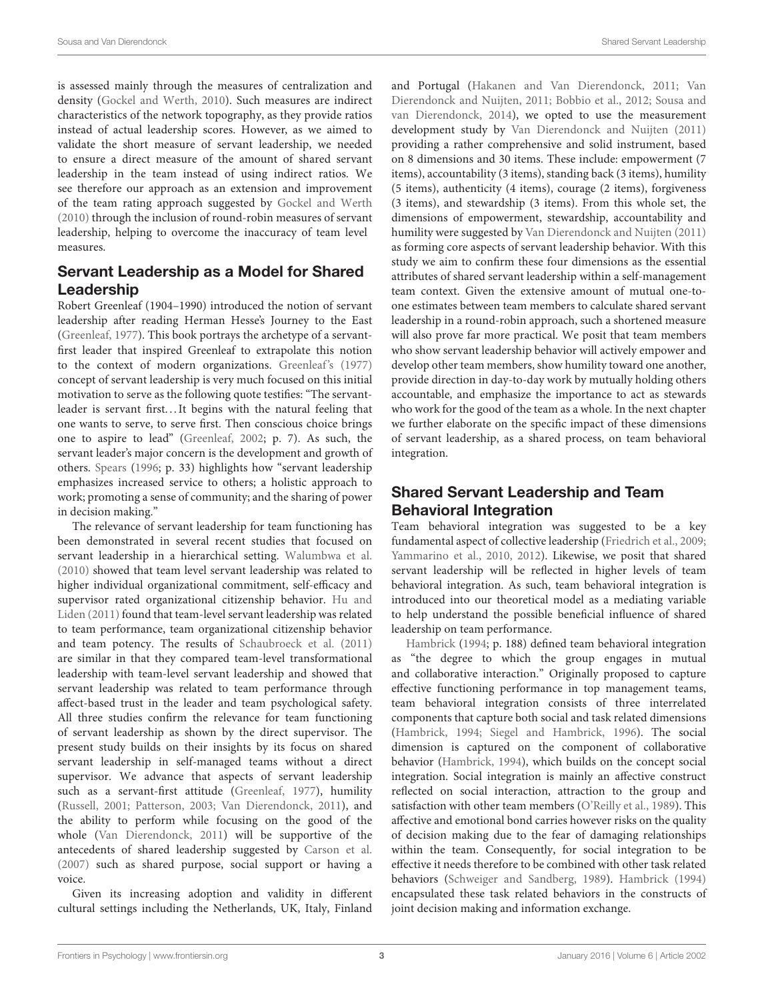is assessed mainly through the measures of centralization and density [\(Gockel and Werth, 2010\)](#page-10-1). Such measures are indirect characteristics of the network topography, as they provide ratios instead of actual leadership scores. However, as we aimed to validate the short measure of servant leadership, we needed to ensure a direct measure of the amount of shared servant leadership in the team instead of using indirect ratios. We see therefore our approach as an extension and improvement of the team rating approach suggested by [Gockel and Werth](#page-10-1) [\(2010\)](#page-10-1) through the inclusion of round-robin measures of servant leadership, helping to overcome the inaccuracy of team level measures.

# Servant Leadership as a Model for Shared Leadership

Robert Greenleaf (1904–1990) introduced the notion of servant leadership after reading Herman Hesse's Journey to the East [\(Greenleaf, 1977\)](#page-10-4). This book portrays the archetype of a servantfirst leader that inspired Greenleaf to extrapolate this notion to the context of modern organizations. [Greenleaf's \(1977\)](#page-10-4) concept of servant leadership is very much focused on this initial motivation to serve as the following quote testifies: "The servantleader is servant first...It begins with the natural feeling that one wants to serve, to serve first. Then conscious choice brings one to aspire to lead" [\(Greenleaf, 2002;](#page-10-5) p. 7). As such, the servant leader's major concern is the development and growth of others. [Spears](#page-11-8) [\(1996;](#page-11-8) p. 33) highlights how "servant leadership emphasizes increased service to others; a holistic approach to work; promoting a sense of community; and the sharing of power in decision making."

The relevance of servant leadership for team functioning has been demonstrated in several recent studies that focused on servant leadership in a hierarchical setting. [Walumbwa et al.](#page-11-9) [\(2010\)](#page-11-9) showed that team level servant leadership was related to higher individual organizational commitment, self-efficacy and supervisor rated organizational citizenship behavior. Hu and Liden [\(2011\)](#page-11-10) found that team-level servant leadership was related to team performance, team organizational citizenship behavior and team potency. The results of [Schaubroeck et al. \(2011\)](#page-11-11) are similar in that they compared team-level transformational leadership with team-level servant leadership and showed that servant leadership was related to team performance through affect-based trust in the leader and team psychological safety. All three studies confirm the relevance for team functioning of servant leadership as shown by the direct supervisor. The present study builds on their insights by its focus on shared servant leadership in self-managed teams without a direct supervisor. We advance that aspects of servant leadership such as a servant-first attitude [\(Greenleaf, 1977\)](#page-10-4), humility [\(Russell, 2001;](#page-11-12) [Patterson, 2003;](#page-11-13) [Van Dierendonck, 2011\)](#page-11-14), and the ability to perform while focusing on the good of the whole [\(Van Dierendonck, 2011\)](#page-11-14) will be supportive of the antecedents of shared leadership suggested by [Carson et al.](#page-10-6) [\(2007\)](#page-10-6) such as shared purpose, social support or having a voice.

Given its increasing adoption and validity in different cultural settings including the Netherlands, UK, Italy, Finland and Portugal [\(Hakanen and Van Dierendonck, 2011;](#page-10-7) Van Dierendonck and Nuijten, [2011;](#page-11-1) [Bobbio et al., 2012;](#page-10-8) Sousa and van Dierendonck, [2014\)](#page-11-15), we opted to use the measurement development study by [Van Dierendonck and Nuijten \(2011\)](#page-11-1) providing a rather comprehensive and solid instrument, based on 8 dimensions and 30 items. These include: empowerment (7 items), accountability (3 items), standing back (3 items), humility (5 items), authenticity (4 items), courage (2 items), forgiveness (3 items), and stewardship (3 items). From this whole set, the dimensions of empowerment, stewardship, accountability and humility were suggested by [Van Dierendonck and Nuijten \(2011\)](#page-11-1) as forming core aspects of servant leadership behavior. With this study we aim to confirm these four dimensions as the essential attributes of shared servant leadership within a self-management team context. Given the extensive amount of mutual one-toone estimates between team members to calculate shared servant leadership in a round-robin approach, such a shortened measure will also prove far more practical. We posit that team members who show servant leadership behavior will actively empower and develop other team members, show humility toward one another, provide direction in day-to-day work by mutually holding others accountable, and emphasize the importance to act as stewards who work for the good of the team as a whole. In the next chapter we further elaborate on the specific impact of these dimensions of servant leadership, as a shared process, on team behavioral integration.

# Shared Servant Leadership and Team Behavioral Integration

Team behavioral integration was suggested to be a key fundamental aspect of collective leadership [\(Friedrich et al., 2009;](#page-10-9) [Yammarino et al., 2010,](#page-11-16) [2012\)](#page-11-0). Likewise, we posit that shared servant leadership will be reflected in higher levels of team behavioral integration. As such, team behavioral integration is introduced into our theoretical model as a mediating variable to help understand the possible beneficial influence of shared [leadership on](#page-10-10) team performance.

Hambrick [\(1994;](#page-10-10) p. 188) defined team behavioral integration as "the degree to which the group engages in mutual and collaborative interaction." Originally proposed to capture effective functioning performance in top management teams, team behavioral integration consists of three interrelated components that capture both social and task related dimensions [\(Hambrick, 1994;](#page-10-10) [Siegel and Hambrick, 1996\)](#page-11-17). The social dimension is captured on the component of collaborative behavior [\(Hambrick, 1994\)](#page-10-10), which builds on the concept social integration. Social integration is mainly an affective construct reflected on social interaction, attraction to the group and satisfaction with other team members [\(O'Reilly et al., 1989\)](#page-11-18). This affective and emotional bond carries however risks on the quality of decision making due to the fear of damaging relationships within the team. Consequently, for social integration to be effective it needs therefore to be combined with other task related behaviors [\(Schweiger and Sandberg, 1989\)](#page-11-19). [Hambrick \(1994\)](#page-10-10) encapsulated these task related behaviors in the constructs of joint decision making and information exchange.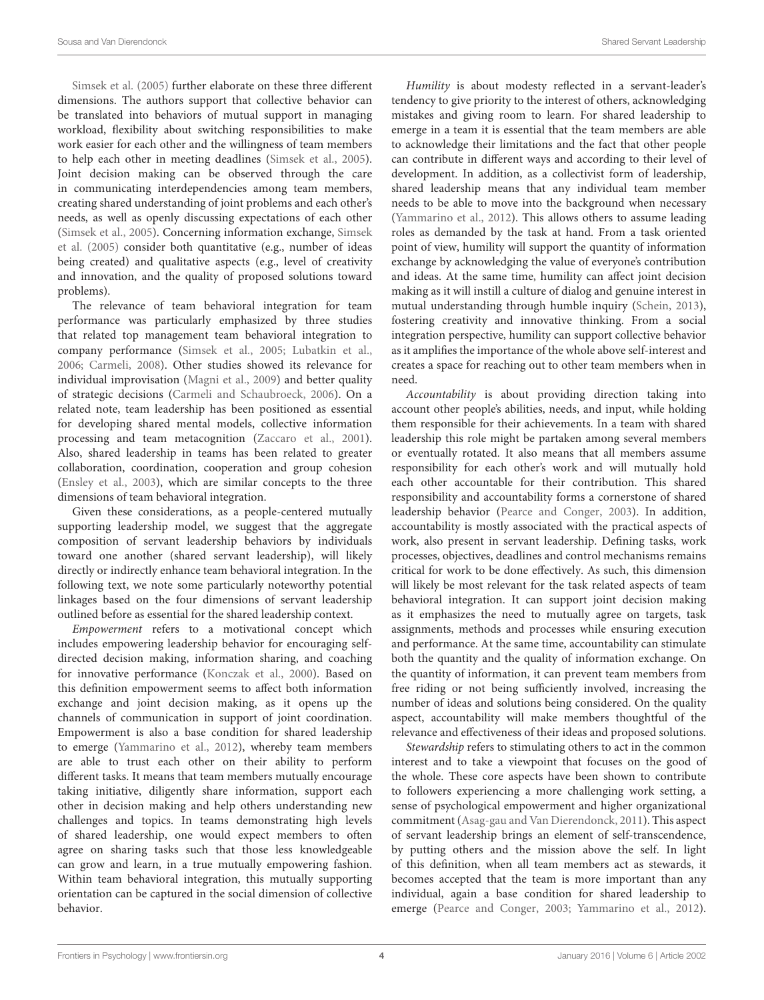[Simsek et al. \(2005\)](#page-11-20) further elaborate on these three different dimensions. The authors support that collective behavior can be translated into behaviors of mutual support in managing workload, flexibility about switching responsibilities to make work easier for each other and the willingness of team members to help each other in meeting deadlines [\(Simsek et al., 2005\)](#page-11-20). Joint decision making can be observed through the care in communicating interdependencies among team members, creating shared understanding of joint problems and each other's needs, as well as openly discussing expectations of each other [\(Simsek et al., 2005\)](#page-11-20). Concerning information exchange, Simsek et al. [\(2005\)](#page-11-20) consider both quantitative (e.g., number of ideas being created) and qualitative aspects (e.g., level of creativity and innovation, and the quality of proposed solutions toward problems).

The relevance of team behavioral integration for team performance was particularly emphasized by three studies that related top management team behavioral integration to company performance [\(Simsek et al., 2005;](#page-11-20) [Lubatkin et al.,](#page-11-21) [2006;](#page-11-21) [Carmeli, 2008\)](#page-10-11). Other studies showed its relevance for individual improvisation [\(Magni et al., 2009\)](#page-11-22) and better quality of strategic decisions [\(Carmeli and Schaubroeck, 2006\)](#page-10-12). On a related note, team leadership has been positioned as essential for developing shared mental models, collective information processing and team metacognition [\(Zaccaro et al., 2001\)](#page-11-23). Also, shared leadership in teams has been related to greater collaboration, coordination, cooperation and group cohesion [\(Ensley et al., 2003\)](#page-10-13), which are similar concepts to the three dimensions of team behavioral integration.

Given these considerations, as a people-centered mutually supporting leadership model, we suggest that the aggregate composition of servant leadership behaviors by individuals toward one another (shared servant leadership), will likely directly or indirectly enhance team behavioral integration. In the following text, we note some particularly noteworthy potential linkages based on the four dimensions of servant leadership outlined before as essential for the shared leadership context.

Empowerment refers to a motivational concept which includes empowering leadership behavior for encouraging selfdirected decision making, information sharing, and coaching for innovative performance [\(Konczak et al., 2000\)](#page-11-24). Based on this definition empowerment seems to affect both information exchange and joint decision making, as it opens up the channels of communication in support of joint coordination. Empowerment is also a base condition for shared leadership to emerge [\(Yammarino et al., 2012\)](#page-11-0), whereby team members are able to trust each other on their ability to perform different tasks. It means that team members mutually encourage taking initiative, diligently share information, support each other in decision making and help others understanding new challenges and topics. In teams demonstrating high levels of shared leadership, one would expect members to often agree on sharing tasks such that those less knowledgeable can grow and learn, in a true mutually empowering fashion. Within team behavioral integration, this mutually supporting orientation can be captured in the social dimension of collective behavior.

Humility is about modesty reflected in a servant-leader's tendency to give priority to the interest of others, acknowledging mistakes and giving room to learn. For shared leadership to emerge in a team it is essential that the team members are able to acknowledge their limitations and the fact that other people can contribute in different ways and according to their level of development. In addition, as a collectivist form of leadership, shared leadership means that any individual team member needs to be able to move into the background when necessary [\(Yammarino et al., 2012\)](#page-11-0). This allows others to assume leading roles as demanded by the task at hand. From a task oriented point of view, humility will support the quantity of information exchange by acknowledging the value of everyone's contribution and ideas. At the same time, humility can affect joint decision making as it will instill a culture of dialog and genuine interest in mutual understanding through humble inquiry [\(Schein, 2013\)](#page-11-25), fostering creativity and innovative thinking. From a social integration perspective, humility can support collective behavior as it amplifies the importance of the whole above self-interest and creates a space for reaching out to other team members when in need.

Accountability is about providing direction taking into account other people's abilities, needs, and input, while holding them responsible for their achievements. In a team with shared leadership this role might be partaken among several members or eventually rotated. It also means that all members assume responsibility for each other's work and will mutually hold each other accountable for their contribution. This shared responsibility and accountability forms a cornerstone of shared leadership behavior [\(Pearce and Conger, 2003\)](#page-11-3). In addition, accountability is mostly associated with the practical aspects of work, also present in servant leadership. Defining tasks, work processes, objectives, deadlines and control mechanisms remains critical for work to be done effectively. As such, this dimension will likely be most relevant for the task related aspects of team behavioral integration. It can support joint decision making as it emphasizes the need to mutually agree on targets, task assignments, methods and processes while ensuring execution and performance. At the same time, accountability can stimulate both the quantity and the quality of information exchange. On the quantity of information, it can prevent team members from free riding or not being sufficiently involved, increasing the number of ideas and solutions being considered. On the quality aspect, accountability will make members thoughtful of the relevance and effectiveness of their ideas and proposed solutions.

Stewardship refers to stimulating others to act in the common interest and to take a viewpoint that focuses on the good of the whole. These core aspects have been shown to contribute to followers experiencing a more challenging work setting, a sense of psychological empowerment and higher organizational commitment [\(Asag-gau and Van Dierendonck, 2011\)](#page-10-14). This aspect of servant leadership brings an element of self-transcendence, by putting others and the mission above the self. In light of this definition, when all team members act as stewards, it becomes accepted that the team is more important than any individual, again a base condition for shared leadership to emerge [\(Pearce and Conger, 2003;](#page-11-3) [Yammarino et al., 2012\)](#page-11-0).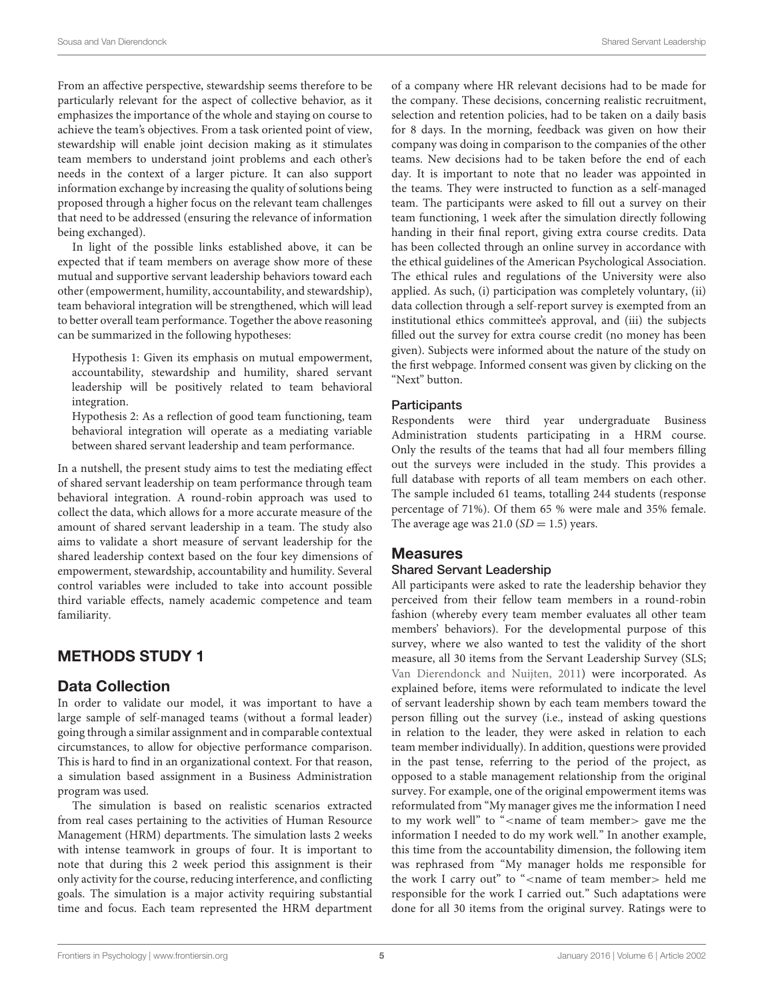From an affective perspective, stewardship seems therefore to be particularly relevant for the aspect of collective behavior, as it emphasizes the importance of the whole and staying on course to achieve the team's objectives. From a task oriented point of view, stewardship will enable joint decision making as it stimulates team members to understand joint problems and each other's needs in the context of a larger picture. It can also support information exchange by increasing the quality of solutions being proposed through a higher focus on the relevant team challenges that need to be addressed (ensuring the relevance of information being exchanged).

In light of the possible links established above, it can be expected that if team members on average show more of these mutual and supportive servant leadership behaviors toward each other (empowerment, humility, accountability, and stewardship), team behavioral integration will be strengthened, which will lead to better overall team performance. Together the above reasoning can be summarized in the following hypotheses:

Hypothesis 1: Given its emphasis on mutual empowerment, accountability, stewardship and humility, shared servant leadership will be positively related to team behavioral integration.

Hypothesis 2: As a reflection of good team functioning, team behavioral integration will operate as a mediating variable between shared servant leadership and team performance.

In a nutshell, the present study aims to test the mediating effect of shared servant leadership on team performance through team behavioral integration. A round-robin approach was used to collect the data, which allows for a more accurate measure of the amount of shared servant leadership in a team. The study also aims to validate a short measure of servant leadership for the shared leadership context based on the four key dimensions of empowerment, stewardship, accountability and humility. Several control variables were included to take into account possible third variable effects, namely academic competence and team familiarity.

# METHODS STUDY 1

#### Data Collection

In order to validate our model, it was important to have a large sample of self-managed teams (without a formal leader) going through a similar assignment and in comparable contextual circumstances, to allow for objective performance comparison. This is hard to find in an organizational context. For that reason, a simulation based assignment in a Business Administration program was used.

The simulation is based on realistic scenarios extracted from real cases pertaining to the activities of Human Resource Management (HRM) departments. The simulation lasts 2 weeks with intense teamwork in groups of four. It is important to note that during this 2 week period this assignment is their only activity for the course, reducing interference, and conflicting goals. The simulation is a major activity requiring substantial time and focus. Each team represented the HRM department of a company where HR relevant decisions had to be made for the company. These decisions, concerning realistic recruitment, selection and retention policies, had to be taken on a daily basis for 8 days. In the morning, feedback was given on how their company was doing in comparison to the companies of the other teams. New decisions had to be taken before the end of each day. It is important to note that no leader was appointed in the teams. They were instructed to function as a self-managed team. The participants were asked to fill out a survey on their team functioning, 1 week after the simulation directly following handing in their final report, giving extra course credits. Data has been collected through an online survey in accordance with the ethical guidelines of the American Psychological Association. The ethical rules and regulations of the University were also applied. As such, (i) participation was completely voluntary, (ii) data collection through a self-report survey is exempted from an institutional ethics committee's approval, and (iii) the subjects filled out the survey for extra course credit (no money has been given). Subjects were informed about the nature of the study on the first webpage. Informed consent was given by clicking on the "Next" button.

#### **Participants**

Respondents were third year undergraduate Business Administration students participating in a HRM course. Only the results of the teams that had all four members filling out the surveys were included in the study. This provides a full database with reports of all team members on each other. The sample included 61 teams, totalling 244 students (response percentage of 71%). Of them 65 % were male and 35% female. The average age was  $21.0$  (SD = 1.5) years.

#### **Measures**

#### Shared Servant Leadership

All participants were asked to rate the leadership behavior they perceived from their fellow team members in a round-robin fashion (whereby every team member evaluates all other team members' behaviors). For the developmental purpose of this survey, where we also wanted to test the validity of the short measure, all 30 items from the Servant Leadership Survey (SLS; [Van Dierendonck and Nuijten, 2011\)](#page-11-1) were incorporated. As explained before, items were reformulated to indicate the level of servant leadership shown by each team members toward the person filling out the survey (i.e., instead of asking questions in relation to the leader, they were asked in relation to each team member individually). In addition, questions were provided in the past tense, referring to the period of the project, as opposed to a stable management relationship from the original survey. For example, one of the original empowerment items was reformulated from "My manager gives me the information I need to my work well" to "<name of team member> gave me the information I needed to do my work well." In another example, this time from the accountability dimension, the following item was rephrased from "My manager holds me responsible for the work I carry out" to "<name of team member> held me responsible for the work I carried out." Such adaptations were done for all 30 items from the original survey. Ratings were to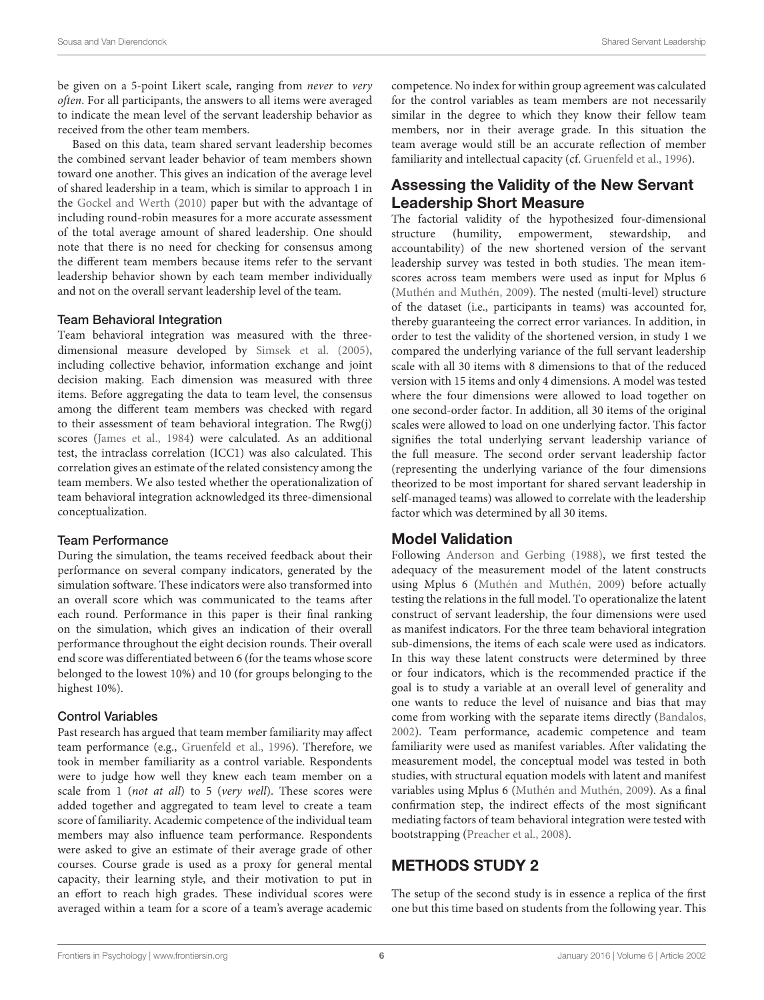be given on a 5-point Likert scale, ranging from never to very often. For all participants, the answers to all items were averaged to indicate the mean level of the servant leadership behavior as received from the other team members.

Based on this data, team shared servant leadership becomes the combined servant leader behavior of team members shown toward one another. This gives an indication of the average level of shared leadership in a team, which is similar to approach 1 in the [Gockel and Werth \(2010\)](#page-10-1) paper but with the advantage of including round-robin measures for a more accurate assessment of the total average amount of shared leadership. One should note that there is no need for checking for consensus among the different team members because items refer to the servant leadership behavior shown by each team member individually and not on the overall servant leadership level of the team.

#### Team Behavioral Integration

Team behavioral integration was measured with the threedimensional measure developed by [Simsek et al. \(2005\)](#page-11-20), including collective behavior, information exchange and joint decision making. Each dimension was measured with three items. Before aggregating the data to team level, the consensus among the different team members was checked with regard to their assessment of team behavioral integration. The Rwg(j) scores [\(James et al., 1984\)](#page-11-26) were calculated. As an additional test, the intraclass correlation (ICC1) was also calculated. This correlation gives an estimate of the related consistency among the team members. We also tested whether the operationalization of team behavioral integration acknowledged its three-dimensional conceptualization.

#### Team Performance

During the simulation, the teams received feedback about their performance on several company indicators, generated by the simulation software. These indicators were also transformed into an overall score which was communicated to the teams after each round. Performance in this paper is their final ranking on the simulation, which gives an indication of their overall performance throughout the eight decision rounds. Their overall end score was differentiated between 6 (for the teams whose score belonged to the lowest 10%) and 10 (for groups belonging to the highest 10%).

#### Control Variables

Past research has argued that team member familiarity may affect team performance (e.g., [Gruenfeld et al., 1996\)](#page-10-15). Therefore, we took in member familiarity as a control variable. Respondents were to judge how well they knew each team member on a scale from 1 (not at all) to 5 (very well). These scores were added together and aggregated to team level to create a team score of familiarity. Academic competence of the individual team members may also influence team performance. Respondents were asked to give an estimate of their average grade of other courses. Course grade is used as a proxy for general mental capacity, their learning style, and their motivation to put in an effort to reach high grades. These individual scores were averaged within a team for a score of a team's average academic competence. No index for within group agreement was calculated for the control variables as team members are not necessarily similar in the degree to which they know their fellow team members, nor in their average grade. In this situation the team average would still be an accurate reflection of member familiarity and intellectual capacity (cf. [Gruenfeld et al., 1996\)](#page-10-15).

#### Assessing the Validity of the New Servant Leadership Short Measure

The factorial validity of the hypothesized four-dimensional structure (humility, empowerment, stewardship, and accountability) of the new shortened version of the servant leadership survey was tested in both studies. The mean itemscores across team members were used as input for Mplus 6 [\(Muthén and Muthén, 2009\)](#page-11-27). The nested (multi-level) structure of the dataset (i.e., participants in teams) was accounted for, thereby guaranteeing the correct error variances. In addition, in order to test the validity of the shortened version, in study 1 we compared the underlying variance of the full servant leadership scale with all 30 items with 8 dimensions to that of the reduced version with 15 items and only 4 dimensions. A model was tested where the four dimensions were allowed to load together on one second-order factor. In addition, all 30 items of the original scales were allowed to load on one underlying factor. This factor signifies the total underlying servant leadership variance of the full measure. The second order servant leadership factor (representing the underlying variance of the four dimensions theorized to be most important for shared servant leadership in self-managed teams) was allowed to correlate with the leadership factor which was determined by all 30 items.

#### Model Validation

Following [Anderson and Gerbing \(1988\)](#page-10-16), we first tested the adequacy of the measurement model of the latent constructs using Mplus 6 [\(Muthén and Muthén, 2009\)](#page-11-27) before actually testing the relations in the full model. To operationalize the latent construct of servant leadership, the four dimensions were used as manifest indicators. For the three team behavioral integration sub-dimensions, the items of each scale were used as indicators. In this way these latent constructs were determined by three or four indicators, which is the recommended practice if the goal is to study a variable at an overall level of generality and one wants to reduce the level of nuisance and bias that may come from working with the separate items directly [\(Bandalos,](#page-10-17) [2002\)](#page-10-17). Team performance, academic competence and team familiarity were used as manifest variables. After validating the measurement model, the conceptual model was tested in both studies, with structural equation models with latent and manifest variables using Mplus 6 [\(Muthén and Muthén, 2009\)](#page-11-27). As a final confirmation step, the indirect effects of the most significant mediating factors of team behavioral integration were tested with bootstrapping [\(Preacher et al., 2008\)](#page-11-28).

# METHODS STUDY 2

The setup of the second study is in essence a replica of the first one but this time based on students from the following year. This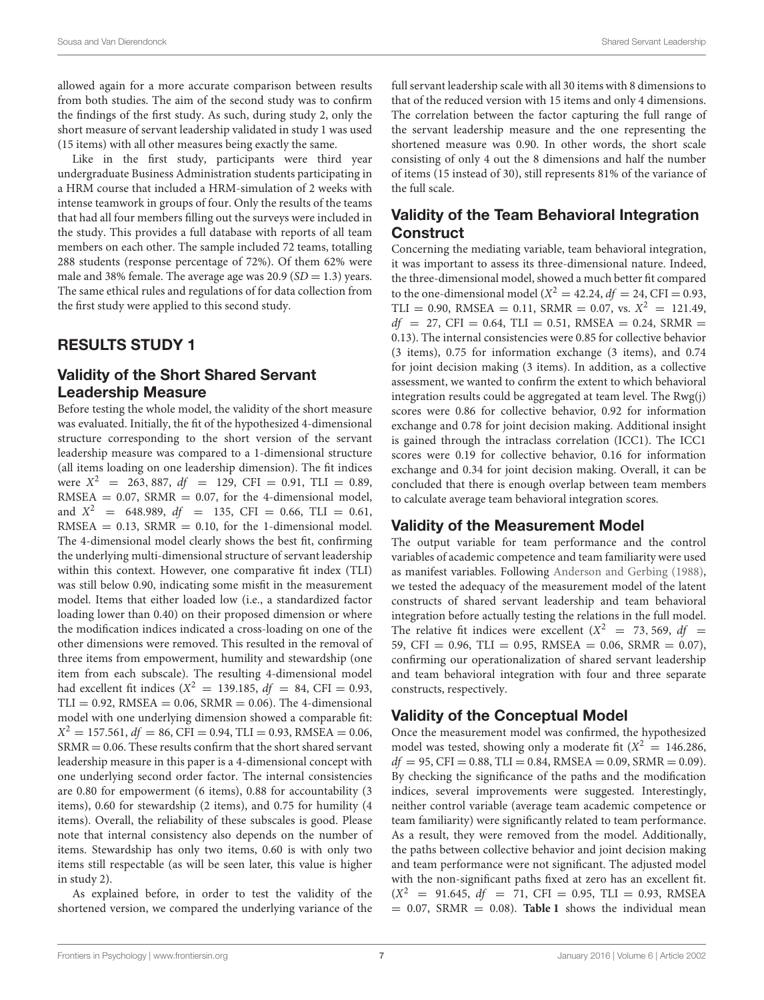allowed again for a more accurate comparison between results from both studies. The aim of the second study was to confirm the findings of the first study. As such, during study 2, only the short measure of servant leadership validated in study 1 was used (15 items) with all other measures being exactly the same.

Like in the first study, participants were third year undergraduate Business Administration students participating in a HRM course that included a HRM-simulation of 2 weeks with intense teamwork in groups of four. Only the results of the teams that had all four members filling out the surveys were included in the study. This provides a full database with reports of all team members on each other. The sample included 72 teams, totalling 288 students (response percentage of 72%). Of them 62% were male and 38% female. The average age was  $20.9$  (SD = 1.3) years. The same ethical rules and regulations of for data collection from the first study were applied to this second study.

# RESULTS STUDY 1

# Validity of the Short Shared Servant Leadership Measure

Before testing the whole model, the validity of the short measure was evaluated. Initially, the fit of the hypothesized 4-dimensional structure corresponding to the short version of the servant leadership measure was compared to a 1-dimensional structure (all items loading on one leadership dimension). The fit indices were  $X^2 = 263,887, df = 129, CFI = 0.91, TLI = 0.89,$ RMSEA =  $0.07$ , SRMR =  $0.07$ , for the 4-dimensional model, and  $X^2$  = 648.989,  $df$  = 135, CFI = 0.66, TLI = 0.61,  $RMSEA = 0.13$ ,  $SRMR = 0.10$ , for the 1-dimensional model. The 4-dimensional model clearly shows the best fit, confirming the underlying multi-dimensional structure of servant leadership within this context. However, one comparative fit index (TLI) was still below 0.90, indicating some misfit in the measurement model. Items that either loaded low (i.e., a standardized factor loading lower than 0.40) on their proposed dimension or where the modification indices indicated a cross-loading on one of the other dimensions were removed. This resulted in the removal of three items from empowerment, humility and stewardship (one item from each subscale). The resulting 4-dimensional model had excellent fit indices ( $X^2 = 139.185$ ,  $df = 84$ , CFI = 0.93,  $TLI = 0.92$ , RMSEA = 0.06, SRMR = 0.06). The 4-dimensional model with one underlying dimension showed a comparable fit:  $X^2 = 157.561, df = 86, CFI = 0.94, TLI = 0.93, RMSEA = 0.06,$  $SRMR = 0.06$ . These results confirm that the short shared servant leadership measure in this paper is a 4-dimensional concept with one underlying second order factor. The internal consistencies are 0.80 for empowerment (6 items), 0.88 for accountability (3 items), 0.60 for stewardship (2 items), and 0.75 for humility (4 items). Overall, the reliability of these subscales is good. Please note that internal consistency also depends on the number of items. Stewardship has only two items, 0.60 is with only two items still respectable (as will be seen later, this value is higher in study 2).

As explained before, in order to test the validity of the shortened version, we compared the underlying variance of the full servant leadership scale with all 30 items with 8 dimensions to that of the reduced version with 15 items and only 4 dimensions. The correlation between the factor capturing the full range of the servant leadership measure and the one representing the shortened measure was 0.90. In other words, the short scale consisting of only 4 out the 8 dimensions and half the number of items (15 instead of 30), still represents 81% of the variance of the full scale.

# Validity of the Team Behavioral Integration **Construct**

Concerning the mediating variable, team behavioral integration, it was important to assess its three-dimensional nature. Indeed, the three-dimensional model, showed a much better fit compared to the one-dimensional model ( $X^2 = 42.24$ ,  $df = 24$ , CFI = 0.93, TLI = 0.90, RMSEA = 0.11, SRMR = 0.07, vs.  $X^2 = 121.49$ ,  $df = 27$ , CFI = 0.64, TLI = 0.51, RMSEA = 0.24, SRMR = 0.13). The internal consistencies were 0.85 for collective behavior (3 items), 0.75 for information exchange (3 items), and 0.74 for joint decision making (3 items). In addition, as a collective assessment, we wanted to confirm the extent to which behavioral integration results could be aggregated at team level. The Rwg(j) scores were 0.86 for collective behavior, 0.92 for information exchange and 0.78 for joint decision making. Additional insight is gained through the intraclass correlation (ICC1). The ICC1 scores were 0.19 for collective behavior, 0.16 for information exchange and 0.34 for joint decision making. Overall, it can be concluded that there is enough overlap between team members to calculate average team behavioral integration scores.

# Validity of the Measurement Model

The output variable for team performance and the control variables of academic competence and team familiarity were used as manifest variables. Following [Anderson and Gerbing \(1988\)](#page-10-16), we tested the adequacy of the measurement model of the latent constructs of shared servant leadership and team behavioral integration before actually testing the relations in the full model. The relative fit indices were excellent ( $X^2$  = 73, 569, df = 59, CFI =  $0.96$ , TLI =  $0.95$ , RMSEA =  $0.06$ , SRMR =  $0.07$ ), confirming our operationalization of shared servant leadership and team behavioral integration with four and three separate constructs, respectively.

# Validity of the Conceptual Model

Once the measurement model was confirmed, the hypothesized model was tested, showing only a moderate fit  $(X^2 = 146.286,$  $df = 95$ , CFI = 0.88, TLI = 0.84, RMSEA = 0.09, SRMR = 0.09). By checking the significance of the paths and the modification indices, several improvements were suggested. Interestingly, neither control variable (average team academic competence or team familiarity) were significantly related to team performance. As a result, they were removed from the model. Additionally, the paths between collective behavior and joint decision making and team performance were not significant. The adjusted model with the non-significant paths fixed at zero has an excellent fit.  $(X^2 = 91.645, df = 71, CFI = 0.95, TLI = 0.93, RMSEA$  $= 0.07$ , SRMR  $= 0.08$ ). **[Table 1](#page-7-0)** shows the individual mean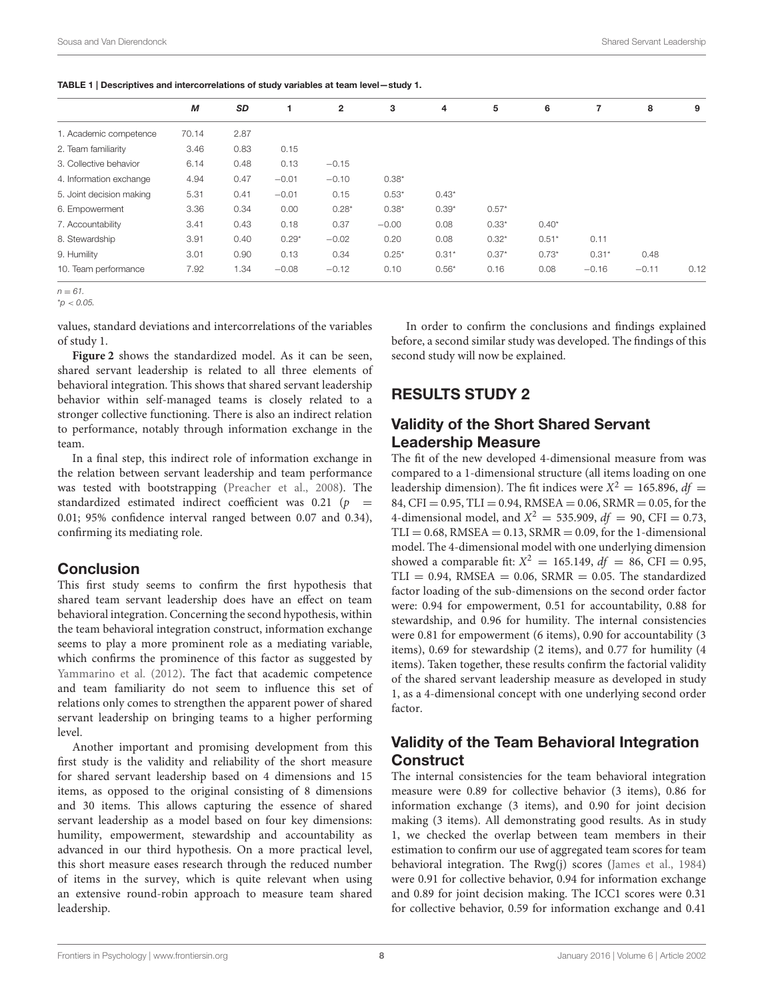<span id="page-7-0"></span>

| TABLE 1   Descriptives and intercorrelations of study variables at team level-study 1. |  |
|----------------------------------------------------------------------------------------|--|
|----------------------------------------------------------------------------------------|--|

| SD<br>2<br>3<br>М<br>4                                                            | 5       | 6       |         | 8       |      |
|-----------------------------------------------------------------------------------|---------|---------|---------|---------|------|
|                                                                                   |         |         |         |         | 9    |
| 1. Academic competence<br>2.87<br>70.14                                           |         |         |         |         |      |
| 0.83<br>2. Team familiarity<br>3.46<br>0.15                                       |         |         |         |         |      |
| 0.48<br>0.13<br>3. Collective behavior<br>6.14<br>$-0.15$                         |         |         |         |         |      |
| 0.47<br>4. Information exchange<br>4.94<br>$-0.01$<br>$-0.10$<br>$0.38*$          |         |         |         |         |      |
| 5. Joint decision making<br>5.31<br>0.41<br>$-0.01$<br>0.15<br>$0.53*$<br>$0.43*$ |         |         |         |         |      |
| $0.39*$<br>3.36<br>0.34<br>0.00<br>$0.28*$<br>$0.38*$<br>6. Empowerment           | $0.57*$ |         |         |         |      |
| 0.43<br>0.18<br>0.37<br>7. Accountability<br>3.41<br>$-0.00$<br>0.08              | $0.33*$ | $0.40*$ |         |         |      |
| 8. Stewardship<br>3.91<br>0.40<br>$0.29*$<br>$-0.02$<br>0.20<br>0.08              | $0.32*$ | $0.51*$ | 0.11    |         |      |
| 9. Humility<br>0.90<br>0.13<br>$0.31*$<br>3.01<br>0.34<br>$0.25*$                 | $0.37*$ | $0.73*$ | $0.31*$ | 0.48    |      |
| 7.92<br>1.34<br>$0.56*$<br>10. Team performance<br>$-0.08$<br>0.10<br>$-0.12$     | 0.16    | 0.08    | $-0.16$ | $-0.11$ | 0.12 |

 $n - 61$ 

 $^{\star}$ p < 0.05.

values, standard deviations and intercorrelations of the variables of study 1.

**[Figure 2](#page-8-0)** shows the standardized model. As it can be seen, shared servant leadership is related to all three elements of behavioral integration. This shows that shared servant leadership behavior within self-managed teams is closely related to a stronger collective functioning. There is also an indirect relation to performance, notably through information exchange in the team.

In a final step, this indirect role of information exchange in the relation between servant leadership and team performance was tested with bootstrapping [\(Preacher et al., 2008\)](#page-11-28). The standardized estimated indirect coefficient was  $0.21$  (p = 0.01; 95% confidence interval ranged between 0.07 and 0.34), confirming its mediating role.

#### **Conclusion**

This first study seems to confirm the first hypothesis that shared team servant leadership does have an effect on team behavioral integration. Concerning the second hypothesis, within the team behavioral integration construct, information exchange seems to play a more prominent role as a mediating variable, which confirms the prominence of this factor as suggested by [Yammarino et al. \(2012\)](#page-11-0). The fact that academic competence and team familiarity do not seem to influence this set of relations only comes to strengthen the apparent power of shared servant leadership on bringing teams to a higher performing level.

Another important and promising development from this first study is the validity and reliability of the short measure for shared servant leadership based on 4 dimensions and 15 items, as opposed to the original consisting of 8 dimensions and 30 items. This allows capturing the essence of shared servant leadership as a model based on four key dimensions: humility, empowerment, stewardship and accountability as advanced in our third hypothesis. On a more practical level, this short measure eases research through the reduced number of items in the survey, which is quite relevant when using an extensive round-robin approach to measure team shared leadership.

In order to confirm the conclusions and findings explained before, a second similar study was developed. The findings of this second study will now be explained.

# RESULTS STUDY 2

#### Validity of the Short Shared Servant Leadership Measure

The fit of the new developed 4-dimensional measure from was compared to a 1-dimensional structure (all items loading on one leadership dimension). The fit indices were  $X^2 = 165.896$ ,  $df =$ 84, CFI = 0.95, TLI = 0.94, RMSEA = 0.06, SRMR = 0.05, for the 4-dimensional model, and  $X^2 = 535.909$ ,  $df = 90$ , CFI = 0.73,  $TLI = 0.68$ , RMSEA = 0.13, SRMR = 0.09, for the 1-dimensional model. The 4-dimensional model with one underlying dimension showed a comparable fit:  $X^2 = 165.149$ ,  $df = 86$ , CFI = 0.95,  $TLI = 0.94$ , RMSEA = 0.06, SRMR = 0.05. The standardized factor loading of the sub-dimensions on the second order factor were: 0.94 for empowerment, 0.51 for accountability, 0.88 for stewardship, and 0.96 for humility. The internal consistencies were 0.81 for empowerment (6 items), 0.90 for accountability (3 items), 0.69 for stewardship (2 items), and 0.77 for humility (4 items). Taken together, these results confirm the factorial validity of the shared servant leadership measure as developed in study 1, as a 4-dimensional concept with one underlying second order factor.

# Validity of the Team Behavioral Integration **Construct**

The internal consistencies for the team behavioral integration measure were 0.89 for collective behavior (3 items), 0.86 for information exchange (3 items), and 0.90 for joint decision making (3 items). All demonstrating good results. As in study 1, we checked the overlap between team members in their estimation to confirm our use of aggregated team scores for team behavioral integration. The Rwg(j) scores [\(James et al., 1984\)](#page-11-26) were 0.91 for collective behavior, 0.94 for information exchange and 0.89 for joint decision making. The ICC1 scores were 0.31 for collective behavior, 0.59 for information exchange and 0.41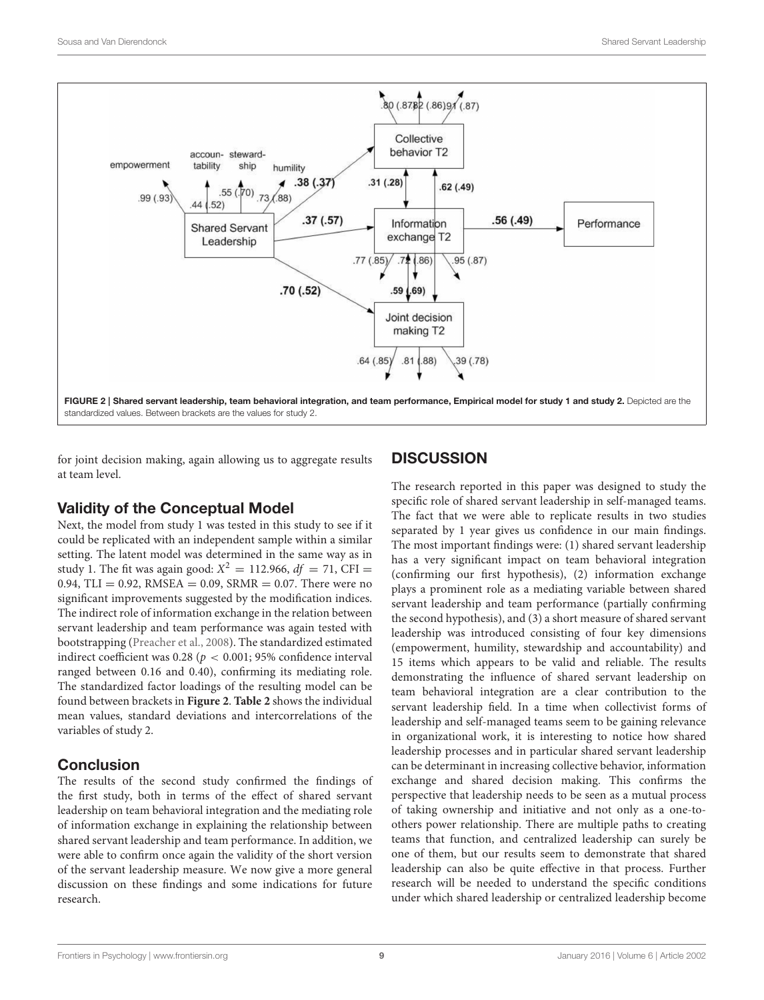

<span id="page-8-0"></span>for joint decision making, again allowing us to aggregate results at team level.

# Validity of the Conceptual Model

Next, the model from study 1 was tested in this study to see if it could be replicated with an independent sample within a similar setting. The latent model was determined in the same way as in study 1. The fit was again good:  $X^2 = 112.966$ ,  $df = 71$ , CFI = 0.94, TLI = 0.92, RMSEA = 0.09, SRMR = 0.07. There were no significant improvements suggested by the modification indices. The indirect role of information exchange in the relation between servant leadership and team performance was again tested with bootstrapping [\(Preacher et al., 2008\)](#page-11-28). The standardized estimated indirect coefficient was 0.28 ( $p < 0.001$ ; 95% confidence interval ranged between 0.16 and 0.40), confirming its mediating role. The standardized factor loadings of the resulting model can be found between brackets in **[Figure 2](#page-8-0)**. **[Table 2](#page-9-0)** shows the individual mean values, standard deviations and intercorrelations of the variables of study 2.

# Conclusion

The results of the second study confirmed the findings of the first study, both in terms of the effect of shared servant leadership on team behavioral integration and the mediating role of information exchange in explaining the relationship between shared servant leadership and team performance. In addition, we were able to confirm once again the validity of the short version of the servant leadership measure. We now give a more general discussion on these findings and some indications for future research.

# **DISCUSSION**

The research reported in this paper was designed to study the specific role of shared servant leadership in self-managed teams. The fact that we were able to replicate results in two studies separated by 1 year gives us confidence in our main findings. The most important findings were: (1) shared servant leadership has a very significant impact on team behavioral integration (confirming our first hypothesis), (2) information exchange plays a prominent role as a mediating variable between shared servant leadership and team performance (partially confirming the second hypothesis), and (3) a short measure of shared servant leadership was introduced consisting of four key dimensions (empowerment, humility, stewardship and accountability) and 15 items which appears to be valid and reliable. The results demonstrating the influence of shared servant leadership on team behavioral integration are a clear contribution to the servant leadership field. In a time when collectivist forms of leadership and self-managed teams seem to be gaining relevance in organizational work, it is interesting to notice how shared leadership processes and in particular shared servant leadership can be determinant in increasing collective behavior, information exchange and shared decision making. This confirms the perspective that leadership needs to be seen as a mutual process of taking ownership and initiative and not only as a one-toothers power relationship. There are multiple paths to creating teams that function, and centralized leadership can surely be one of them, but our results seem to demonstrate that shared leadership can also be quite effective in that process. Further research will be needed to understand the specific conditions under which shared leadership or centralized leadership become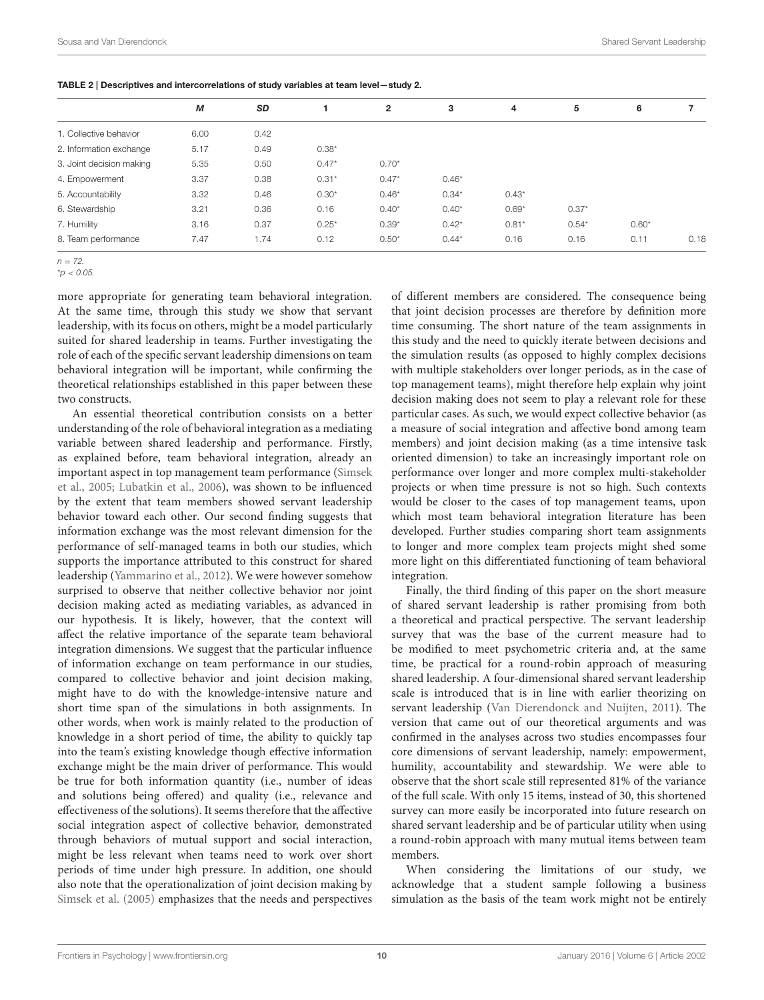<span id="page-9-0"></span>

|  |  | TABLE 2   Descriptives and intercorrelations of study variables at team level-study 2. |
|--|--|----------------------------------------------------------------------------------------|
|  |  |                                                                                        |

|                          | М    | SD   |         | $\overline{2}$ | 3       | 4       | 5       | 6       |      |
|--------------------------|------|------|---------|----------------|---------|---------|---------|---------|------|
| 1. Collective behavior   | 6.00 | 0.42 |         |                |         |         |         |         |      |
| 2. Information exchange  | 5.17 | 0.49 | $0.38*$ |                |         |         |         |         |      |
| 3. Joint decision making | 5.35 | 0.50 | $0.47*$ | $0.70*$        |         |         |         |         |      |
| 4. Empowerment           | 3.37 | 0.38 | $0.31*$ | $0.47*$        | $0.46*$ |         |         |         |      |
| 5. Accountability        | 3.32 | 0.46 | $0.30*$ | $0.46*$        | $0.34*$ | $0.43*$ |         |         |      |
| 6. Stewardship           | 3.21 | 0.36 | 0.16    | $0.40*$        | $0.40*$ | $0.69*$ | $0.37*$ |         |      |
| 7. Humility              | 3.16 | 0.37 | $0.25*$ | $0.39*$        | $0.42*$ | $0.81*$ | $0.54*$ | $0.60*$ |      |
| 8. Team performance      | 7.47 | 1.74 | 0.12    | $0.50*$        | $0.44*$ | 0.16    | 0.16    | 0.11    | 0.18 |
|                          |      |      |         |                |         |         |         |         |      |

 $n = 72.$ 

 $^{\star}$ p < 0.05.

more appropriate for generating team behavioral integration. At the same time, through this study we show that servant leadership, with its focus on others, might be a model particularly suited for shared leadership in teams. Further investigating the role of each of the specific servant leadership dimensions on team behavioral integration will be important, while confirming the theoretical relationships established in this paper between these two constructs.

An essential theoretical contribution consists on a better understanding of the role of behavioral integration as a mediating variable between shared leadership and performance. Firstly, as explained before, team behavioral integration, already an important aspect in top management team performance (Simsek et al., [2005;](#page-11-20) [Lubatkin et al., 2006\)](#page-11-21), was shown to be influenced by the extent that team members showed servant leadership behavior toward each other. Our second finding suggests that information exchange was the most relevant dimension for the performance of self-managed teams in both our studies, which supports the importance attributed to this construct for shared leadership [\(Yammarino et al., 2012\)](#page-11-0). We were however somehow surprised to observe that neither collective behavior nor joint decision making acted as mediating variables, as advanced in our hypothesis. It is likely, however, that the context will affect the relative importance of the separate team behavioral integration dimensions. We suggest that the particular influence of information exchange on team performance in our studies, compared to collective behavior and joint decision making, might have to do with the knowledge-intensive nature and short time span of the simulations in both assignments. In other words, when work is mainly related to the production of knowledge in a short period of time, the ability to quickly tap into the team's existing knowledge though effective information exchange might be the main driver of performance. This would be true for both information quantity (i.e., number of ideas and solutions being offered) and quality (i.e., relevance and effectiveness of the solutions). It seems therefore that the affective social integration aspect of collective behavior, demonstrated through behaviors of mutual support and social interaction, might be less relevant when teams need to work over short periods of time under high pressure. In addition, one should also note that the operationalization of joint decision making by [Simsek et al. \(2005\)](#page-11-20) emphasizes that the needs and perspectives of different members are considered. The consequence being that joint decision processes are therefore by definition more time consuming. The short nature of the team assignments in this study and the need to quickly iterate between decisions and the simulation results (as opposed to highly complex decisions with multiple stakeholders over longer periods, as in the case of top management teams), might therefore help explain why joint decision making does not seem to play a relevant role for these particular cases. As such, we would expect collective behavior (as a measure of social integration and affective bond among team members) and joint decision making (as a time intensive task oriented dimension) to take an increasingly important role on performance over longer and more complex multi-stakeholder projects or when time pressure is not so high. Such contexts would be closer to the cases of top management teams, upon which most team behavioral integration literature has been developed. Further studies comparing short team assignments to longer and more complex team projects might shed some more light on this differentiated functioning of team behavioral integration.

Finally, the third finding of this paper on the short measure of shared servant leadership is rather promising from both a theoretical and practical perspective. The servant leadership survey that was the base of the current measure had to be modified to meet psychometric criteria and, at the same time, be practical for a round-robin approach of measuring shared leadership. A four-dimensional shared servant leadership scale is introduced that is in line with earlier theorizing on servant leadership [\(Van Dierendonck and Nuijten, 2011\)](#page-11-1). The version that came out of our theoretical arguments and was confirmed in the analyses across two studies encompasses four core dimensions of servant leadership, namely: empowerment, humility, accountability and stewardship. We were able to observe that the short scale still represented 81% of the variance of the full scale. With only 15 items, instead of 30, this shortened survey can more easily be incorporated into future research on shared servant leadership and be of particular utility when using a round-robin approach with many mutual items between team members.

When considering the limitations of our study, we acknowledge that a student sample following a business simulation as the basis of the team work might not be entirely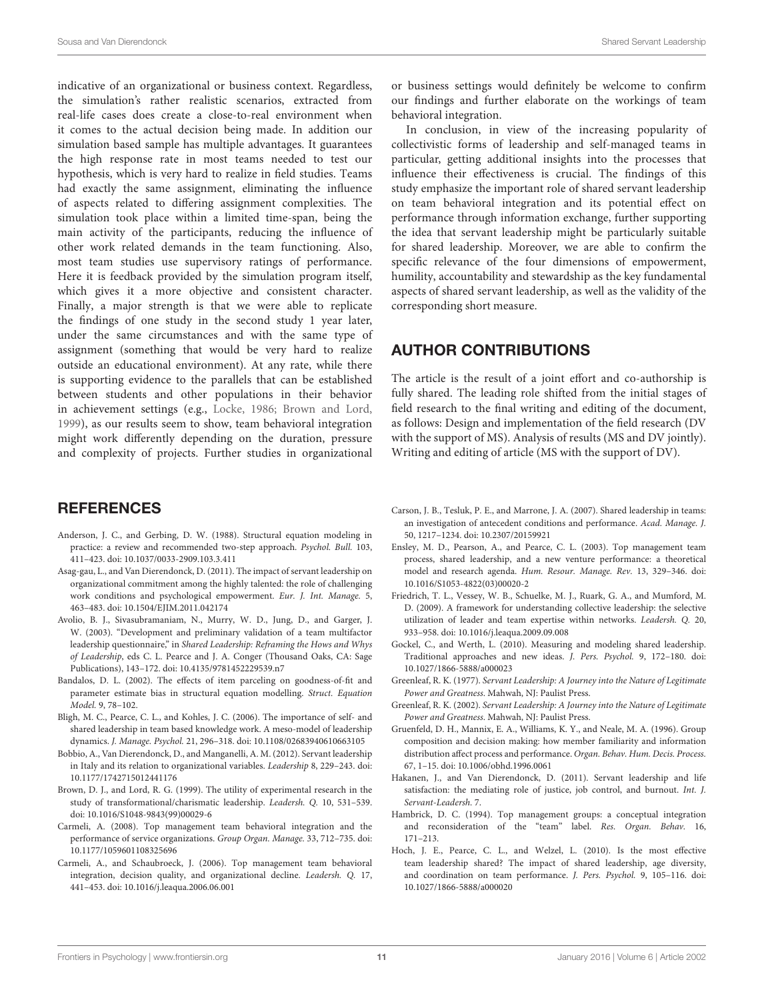indicative of an organizational or business context. Regardless, the simulation's rather realistic scenarios, extracted from real-life cases does create a close-to-real environment when it comes to the actual decision being made. In addition our simulation based sample has multiple advantages. It guarantees the high response rate in most teams needed to test our hypothesis, which is very hard to realize in field studies. Teams had exactly the same assignment, eliminating the influence of aspects related to differing assignment complexities. The simulation took place within a limited time-span, being the main activity of the participants, reducing the influence of other work related demands in the team functioning. Also, most team studies use supervisory ratings of performance. Here it is feedback provided by the simulation program itself, which gives it a more objective and consistent character. Finally, a major strength is that we were able to replicate the findings of one study in the second study 1 year later, under the same circumstances and with the same type of assignment (something that would be very hard to realize outside an educational environment). At any rate, while there is supporting evidence to the parallels that can be established between students and other populations in their behavior in achievement settings (e.g., [Locke, 1986;](#page-11-29) [Brown and Lord,](#page-10-18) [1999\)](#page-10-18), as our results seem to show, team behavioral integration might work differently depending on the duration, pressure and complexity of projects. Further studies in organizational

#### **REFERENCES**

- <span id="page-10-16"></span>Anderson, J. C., and Gerbing, D. W. (1988). Structural equation modeling in practice: a review and recommended two-step approach. Psychol. Bull. 103, 411–423. doi: 10.1037/0033-2909.103.3.411
- <span id="page-10-14"></span>Asag-gau, L., and Van Dierendonck, D. (2011). The impact of servant leadership on organizational commitment among the highly talented: the role of challenging work conditions and psychological empowerment. Eur. J. Int. Manage. 5, 463–483. doi: 10.1504/EJIM.2011.042174
- <span id="page-10-0"></span>Avolio, B. J., Sivasubramaniam, N., Murry, W. D., Jung, D., and Garger, J. W. (2003). "Development and preliminary validation of a team multifactor leadership questionnaire," in Shared Leadership: Reframing the Hows and Whys of Leadership, eds C. L. Pearce and J. A. Conger (Thousand Oaks, CA: Sage Publications), 143–172. doi: 10.4135/9781452229539.n7
- <span id="page-10-17"></span>Bandalos, D. L. (2002). The effects of item parceling on goodness-of-fit and parameter estimate bias in structural equation modelling. Struct. Equation Model. 9, 78–102.
- <span id="page-10-2"></span>Bligh, M. C., Pearce, C. L., and Kohles, J. C. (2006). The importance of self- and shared leadership in team based knowledge work. A meso-model of leadership dynamics. J. Manage. Psychol. 21, 296–318. doi: 10.1108/02683940610663105
- <span id="page-10-8"></span>Bobbio, A., Van Dierendonck, D., and Manganelli, A. M. (2012). Servant leadership in Italy and its relation to organizational variables. Leadership 8, 229–243. doi: 10.1177/1742715012441176
- <span id="page-10-18"></span>Brown, D. J., and Lord, R. G. (1999). The utility of experimental research in the study of transformational/charismatic leadership. Leadersh. Q. 10, 531–539. doi: 10.1016/S1048-9843(99)00029-6
- <span id="page-10-11"></span>Carmeli, A. (2008). Top management team behavioral integration and the performance of service organizations. Group Organ. Manage. 33, 712–735. doi: 10.1177/1059601108325696
- <span id="page-10-12"></span>Carmeli, A., and Schaubroeck, J. (2006). Top management team behavioral integration, decision quality, and organizational decline. Leadersh. Q. 17, 441–453. doi: 10.1016/j.leaqua.2006.06.001

or business settings would definitely be welcome to confirm our findings and further elaborate on the workings of team behavioral integration.

In conclusion, in view of the increasing popularity of collectivistic forms of leadership and self-managed teams in particular, getting additional insights into the processes that influence their effectiveness is crucial. The findings of this study emphasize the important role of shared servant leadership on team behavioral integration and its potential effect on performance through information exchange, further supporting the idea that servant leadership might be particularly suitable for shared leadership. Moreover, we are able to confirm the specific relevance of the four dimensions of empowerment, humility, accountability and stewardship as the key fundamental aspects of shared servant leadership, as well as the validity of the corresponding short measure.

#### AUTHOR CONTRIBUTIONS

The article is the result of a joint effort and co-authorship is fully shared. The leading role shifted from the initial stages of field research to the final writing and editing of the document, as follows: Design and implementation of the field research (DV with the support of MS). Analysis of results (MS and DV jointly). Writing and editing of article (MS with the support of DV).

- <span id="page-10-6"></span>Carson, J. B., Tesluk, P. E., and Marrone, J. A. (2007). Shared leadership in teams: an investigation of antecedent conditions and performance. Acad. Manage. J. 50, 1217–1234. doi: 10.2307/20159921
- <span id="page-10-13"></span>Ensley, M. D., Pearson, A., and Pearce, C. L. (2003). Top management team process, shared leadership, and a new venture performance: a theoretical model and research agenda. Hum. Resour. Manage. Rev. 13, 329–346. doi: 10.1016/S1053-4822(03)00020-2
- <span id="page-10-9"></span>Friedrich, T. L., Vessey, W. B., Schuelke, M. J., Ruark, G. A., and Mumford, M. D. (2009). A framework for understanding collective leadership: the selective utilization of leader and team expertise within networks. Leadersh. Q. 20, 933–958. doi: 10.1016/j.leaqua.2009.09.008
- <span id="page-10-1"></span>Gockel, C., and Werth, L. (2010). Measuring and modeling shared leadership. Traditional approaches and new ideas. J. Pers. Psychol. 9, 172–180. doi: 10.1027/1866-5888/a000023
- <span id="page-10-4"></span>Greenleaf, R. K. (1977). Servant Leadership: A Journey into the Nature of Legitimate Power and Greatness. Mahwah, NJ: Paulist Press.
- <span id="page-10-5"></span>Greenleaf, R. K. (2002). Servant Leadership: A Journey into the Nature of Legitimate Power and Greatness. Mahwah, NJ: Paulist Press.
- <span id="page-10-15"></span>Gruenfeld, D. H., Mannix, E. A., Williams, K. Y., and Neale, M. A. (1996). Group composition and decision making: how member familiarity and information distribution affect process and performance. Organ. Behav. Hum. Decis. Process. 67, 1–15. doi: 10.1006/obhd.1996.0061
- <span id="page-10-7"></span>Hakanen, J., and Van Dierendonck, D. (2011). Servant leadership and life satisfaction: the mediating role of justice, job control, and burnout. Int. J. Servant-Leadersh. 7.
- <span id="page-10-10"></span>Hambrick, D. C. (1994). Top management groups: a conceptual integration and reconsideration of the "team" label. Res. Organ. Behav. 16, 171–213.
- <span id="page-10-3"></span>Hoch, J. E., Pearce, C. L., and Welzel, L. (2010). Is the most effective team leadership shared? The impact of shared leadership, age diversity, and coordination on team performance. J. Pers. Psychol. 9, 105–116. doi: 10.1027/1866-5888/a000020